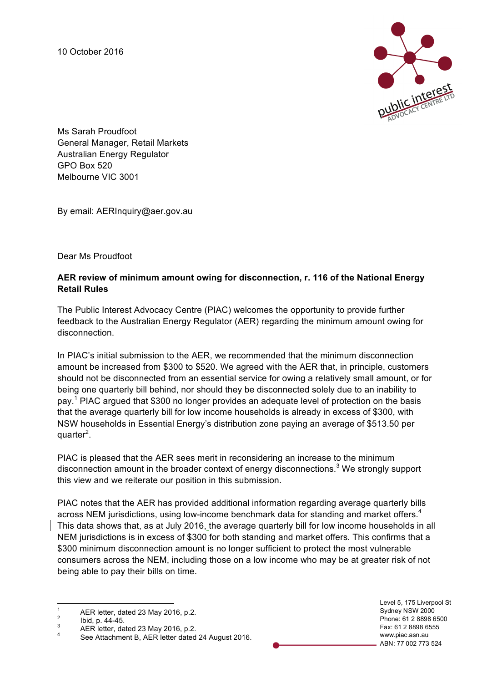10 October 2016



Ms Sarah Proudfoot General Manager, Retail Markets Australian Energy Regulator GPO Box 520 Melbourne VIC 3001

By email: AERInquiry@aer.gov.au

Dear Ms Proudfoot

## **AER review of minimum amount owing for disconnection, r. 116 of the National Energy Retail Rules**

The Public Interest Advocacy Centre (PIAC) welcomes the opportunity to provide further feedback to the Australian Energy Regulator (AER) regarding the minimum amount owing for disconnection.

In PIAC's initial submission to the AER, we recommended that the minimum disconnection amount be increased from \$300 to \$520. We agreed with the AER that, in principle, customers should not be disconnected from an essential service for owing a relatively small amount, or for being one quarterly bill behind, nor should they be disconnected solely due to an inability to pay.<sup>1</sup> PIAC argued that \$300 no longer provides an adequate level of protection on the basis that the average quarterly bill for low income households is already in excess of \$300, with NSW households in Essential Energy's distribution zone paying an average of \$513.50 per quarter<sup>2</sup>.

PIAC is pleased that the AER sees merit in reconsidering an increase to the minimum disconnection amount in the broader context of energy disconnections.<sup>3</sup> We strongly support this view and we reiterate our position in this submission.

PIAC notes that the AER has provided additional information regarding average quarterly bills across NEM jurisdictions, using low-income benchmark data for standing and market offers.<sup>4</sup> This data shows that, as at July 2016, the average quarterly bill for low income households in all NEM jurisdictions is in excess of \$300 for both standing and market offers. This confirms that a \$300 minimum disconnection amount is no longer sufficient to protect the most vulnerable consumers across the NEM, including those on a low income who may be at greater risk of not being able to pay their bills on time.

Level 5, 175 Liverpool St Sydney NSW 2000 Phone: 61 2 8898 6500 Fax: 61 2 8898 6555 www.piac.asn.au ABN: 77 002 773 524

<sup>1</sup> AER letter, dated 23 May 2016, p.2.<br>  $\frac{2}{3}$  Ibid, p. 44-45.<br>
AER letter, dated 23 May 2016, p.2.<br>  $\frac{4}{3}$  See Attachment B, AER letter dated 24 August 2016.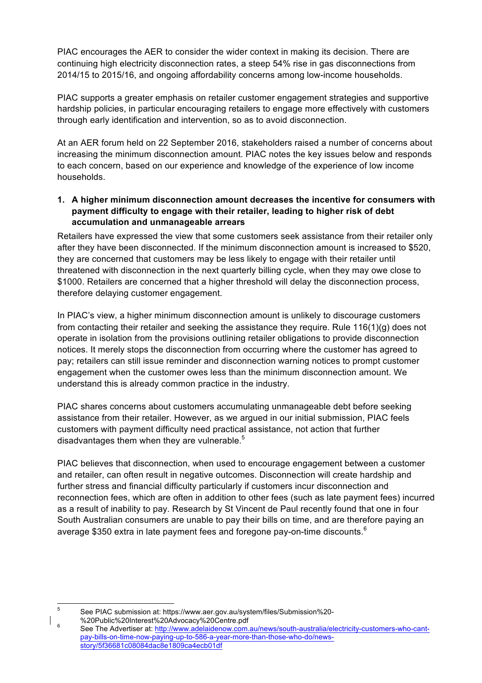PIAC encourages the AER to consider the wider context in making its decision. There are continuing high electricity disconnection rates, a steep 54% rise in gas disconnections from 2014/15 to 2015/16, and ongoing affordability concerns among low-income households.

PIAC supports a greater emphasis on retailer customer engagement strategies and supportive hardship policies, in particular encouraging retailers to engage more effectively with customers through early identification and intervention, so as to avoid disconnection.

At an AER forum held on 22 September 2016, stakeholders raised a number of concerns about increasing the minimum disconnection amount. PIAC notes the key issues below and responds to each concern, based on our experience and knowledge of the experience of low income households.

**1. A higher minimum disconnection amount decreases the incentive for consumers with payment difficulty to engage with their retailer, leading to higher risk of debt accumulation and unmanageable arrears**

Retailers have expressed the view that some customers seek assistance from their retailer only after they have been disconnected. If the minimum disconnection amount is increased to \$520, they are concerned that customers may be less likely to engage with their retailer until threatened with disconnection in the next quarterly billing cycle, when they may owe close to \$1000. Retailers are concerned that a higher threshold will delay the disconnection process, therefore delaying customer engagement.

In PIAC's view, a higher minimum disconnection amount is unlikely to discourage customers from contacting their retailer and seeking the assistance they require. Rule 116(1)(g) does not operate in isolation from the provisions outlining retailer obligations to provide disconnection notices. It merely stops the disconnection from occurring where the customer has agreed to pay; retailers can still issue reminder and disconnection warning notices to prompt customer engagement when the customer owes less than the minimum disconnection amount. We understand this is already common practice in the industry.

PIAC shares concerns about customers accumulating unmanageable debt before seeking assistance from their retailer. However, as we argued in our initial submission, PIAC feels customers with payment difficulty need practical assistance, not action that further disadvantages them when they are vulnerable. $5$ 

PIAC believes that disconnection, when used to encourage engagement between a customer and retailer, can often result in negative outcomes. Disconnection will create hardship and further stress and financial difficulty particularly if customers incur disconnection and reconnection fees, which are often in addition to other fees (such as late payment fees) incurred as a result of inability to pay. Research by St Vincent de Paul recently found that one in four South Australian consumers are unable to pay their bills on time, and are therefore paying an average \$350 extra in late payment fees and foregone pay-on-time discounts.<sup>6</sup>

 <sup>5</sup> See PIAC submission at: https://www.aer.gov.au/system/files/Submission%20-

<sup>%20</sup>Public%20Interest%20Advocacy%20Centre.pdf 6<br>See The Advertiser at: http://www.adelaidenow.com.au/news/south-australia/electricity-customers-who-cantpay-bills-on-time-now-paying-up-to-586-a-year-more-than-those-who-do/newsstory/5f36681c08084dac8e1809ca4ecb01df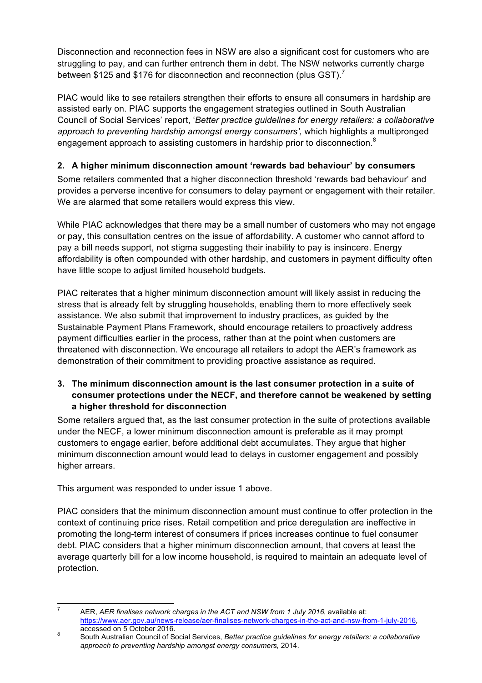Disconnection and reconnection fees in NSW are also a significant cost for customers who are struggling to pay, and can further entrench them in debt. The NSW networks currently charge between \$125 and \$176 for disconnection and reconnection (plus GST).<sup>7</sup>

PIAC would like to see retailers strengthen their efforts to ensure all consumers in hardship are assisted early on. PIAC supports the engagement strategies outlined in South Australian Council of Social Services' report, '*Better practice guidelines for energy retailers: a collaborative approach to preventing hardship amongst energy consumers',* which highlights a multipronged engagement approach to assisting customers in hardship prior to disconnection.<sup>8</sup>

## **2. A higher minimum disconnection amount 'rewards bad behaviour' by consumers**

Some retailers commented that a higher disconnection threshold 'rewards bad behaviour' and provides a perverse incentive for consumers to delay payment or engagement with their retailer. We are alarmed that some retailers would express this view.

While PIAC acknowledges that there may be a small number of customers who may not engage or pay, this consultation centres on the issue of affordability. A customer who cannot afford to pay a bill needs support, not stigma suggesting their inability to pay is insincere. Energy affordability is often compounded with other hardship, and customers in payment difficulty often have little scope to adjust limited household budgets.

PIAC reiterates that a higher minimum disconnection amount will likely assist in reducing the stress that is already felt by struggling households, enabling them to more effectively seek assistance. We also submit that improvement to industry practices, as guided by the Sustainable Payment Plans Framework, should encourage retailers to proactively address payment difficulties earlier in the process, rather than at the point when customers are threatened with disconnection. We encourage all retailers to adopt the AER's framework as demonstration of their commitment to providing proactive assistance as required.

## **3. The minimum disconnection amount is the last consumer protection in a suite of consumer protections under the NECF, and therefore cannot be weakened by setting a higher threshold for disconnection**

Some retailers argued that, as the last consumer protection in the suite of protections available under the NECF, a lower minimum disconnection amount is preferable as it may prompt customers to engage earlier, before additional debt accumulates. They argue that higher minimum disconnection amount would lead to delays in customer engagement and possibly higher arrears.

This argument was responded to under issue 1 above.

PIAC considers that the minimum disconnection amount must continue to offer protection in the context of continuing price rises. Retail competition and price deregulation are ineffective in promoting the long-term interest of consumers if prices increases continue to fuel consumer debt. PIAC considers that a higher minimum disconnection amount, that covers at least the average quarterly bill for a low income household, is required to maintain an adequate level of protection.

 <sup>7</sup> AER, *AER finalises network charges in the ACT and NSW from 1 July 2016*, available at: https://www.aer.gov.au/news-release/aer-finalises-network-charges-in-the-act-and-nsw-from-1-july-2016,

accessed on 5 October 2016.<br>South Australian Council of Social Services, *Better practice guidelines for energy retailers: a collaborative approach to preventing hardship amongst energy consumers,* 2014.